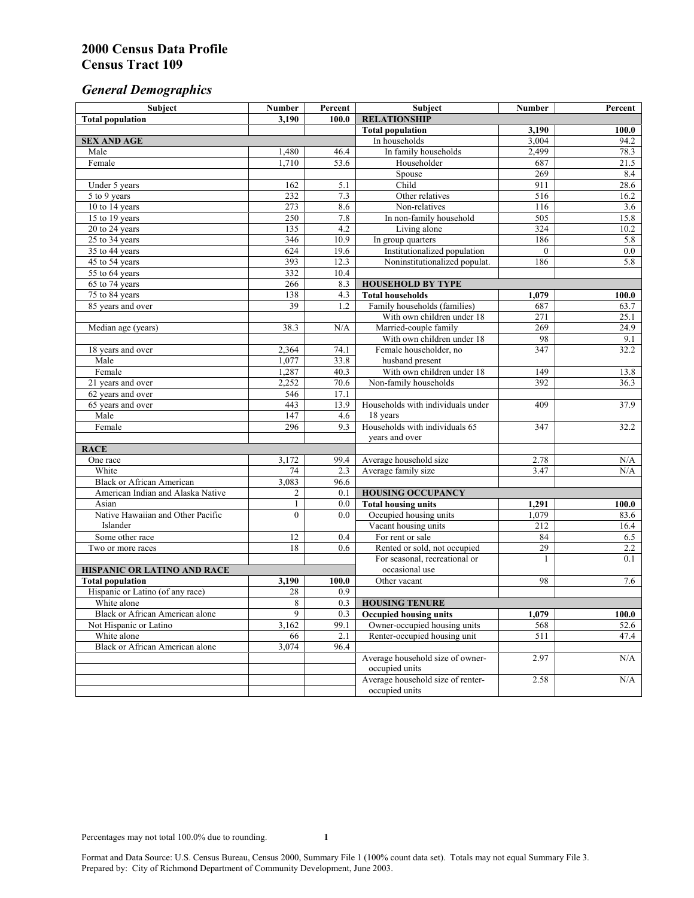# *General Demographics*

| Subject                           | <b>Number</b>   | Percent    | Subject                                                 | <b>Number</b> | Percent            |
|-----------------------------------|-----------------|------------|---------------------------------------------------------|---------------|--------------------|
| <b>Total population</b>           | 3,190           | 100.0      | <b>RELATIONSHIP</b>                                     |               |                    |
|                                   |                 |            | <b>Total population</b>                                 | 3,190         | $\overline{100.0}$ |
| <b>SEX AND AGE</b>                |                 |            | In households                                           | 3.004         | 94.2               |
| Male                              | 1,480           | 46.4       | In family households                                    | 2,499         | 78.3               |
| Female                            | 1,710           | 53.6       | Householder                                             | 687           | 21.5               |
|                                   |                 |            | Spouse                                                  | 269           | 8.4                |
| Under 5 years                     | 162             | 5.1        | Child                                                   | 911           | 28.6               |
| 5 to 9 years                      | 232             | 7.3        | Other relatives                                         | 516           | 16.2               |
| 10 to 14 years                    | 273             | 8.6        | Non-relatives                                           | 116           | 3.6                |
| 15 to 19 years                    | 250             | 7.8        | In non-family household                                 | 505           | 15.8               |
| 20 to 24 years                    | 135             | 4.2        | Living alone                                            | 324           | 10.2               |
| $25 \text{ to } 34$ years         | 346             | 10.9       | In group quarters                                       | 186           | 5.8                |
| 35 to 44 years                    | 624             | 19.6       | Institutionalized population                            | $\theta$      | 0.0                |
| 45 to 54 years                    | 393             | 12.3       | Noninstitutionalized populat.                           | 186           | 5.8                |
| 55 to 64 years                    | 332             | 10.4       |                                                         |               |                    |
| 65 to 74 years                    | 266             | 8.3        | <b>HOUSEHOLD BY TYPE</b>                                |               |                    |
| 75 to 84 years                    | 138<br>39       | 4.3<br>1.2 | <b>Total households</b><br>Family households (families) | 1,079<br>687  | 100.0              |
| 85 years and over                 |                 |            | With own children under 18                              | 271           | 63.7<br>25.1       |
|                                   | 38.3            | N/A        | Married-couple family                                   | 269           | 24.9               |
| Median age (years)                |                 |            | With own children under 18                              | 98            | 9.1                |
|                                   | 2,364           | 74.1       | Female householder, no                                  | 347           | 32.2               |
| 18 years and over<br>Male         | 1,077           | 33.8       | husband present                                         |               |                    |
| Female                            | 1,287           | 40.3       | With own children under 18                              | 149           | 13.8               |
| 21 years and over                 | 2,252           | 70.6       | Non-family households                                   | 392           | 36.3               |
| 62 years and over                 | 546             | 17.1       |                                                         |               |                    |
| 65 years and over                 | 443             | 13.9       | Households with individuals under                       | 409           | 37.9               |
| Male                              | 147             | 4.6        | 18 years                                                |               |                    |
| Female                            | 296             | 9.3        | Households with individuals 65                          | 347           | 32.2               |
|                                   |                 |            | years and over                                          |               |                    |
| <b>RACE</b>                       |                 |            |                                                         |               |                    |
| One race                          | 3,172           | 99.4       | Average household size                                  | 2.78          | $\rm N/A$          |
| White                             | 74              | 2.3        | Average family size                                     | 3.47          | N/A                |
| <b>Black or African American</b>  | 3,083           | 96.6       |                                                         |               |                    |
| American Indian and Alaska Native | $\overline{c}$  | 0.1        | <b>HOUSING OCCUPANCY</b>                                |               |                    |
| Asian                             | $\mathbf{1}$    | 0.0        | <b>Total housing units</b>                              | 1,291         | 100.0              |
| Native Hawaiian and Other Pacific | $\theta$        | 0.0        | Occupied housing units                                  | 1,079         | 83.6               |
| Islander                          |                 |            | Vacant housing units                                    | 212           | 16.4               |
| Some other race                   | 12              | 0.4        | For rent or sale                                        | 84            | 6.5                |
| Two or more races                 | $\overline{18}$ | 0.6        | Rented or sold, not occupied                            | 29            | 2.2                |
|                                   |                 |            | For seasonal, recreational or                           | 1             | 0.1                |
| HISPANIC OR LATINO AND RACE       |                 |            | occasional use                                          |               |                    |
| <b>Total population</b>           | 3,190           | 100.0      | Other vacant                                            | 98            | 7.6                |
| Hispanic or Latino (of any race)  | 28              | 0.9        |                                                         |               |                    |
| White alone                       | 8               | 0.3        | <b>HOUSING TENURE</b>                                   |               |                    |
| Black or African American alone   | 9               | 0.3        | <b>Occupied housing units</b>                           | 1,079         | 100.0              |
| Not Hispanic or Latino            | 3,162           | 99.1       | Owner-occupied housing units                            | 568           | 52.6               |
| White alone                       | 66              | 2.1        | Renter-occupied housing unit                            | 511           | 47.4               |
| Black or African American alone   | 3,074           | 96.4       |                                                         |               |                    |
|                                   |                 |            | Average household size of owner-                        | 2.97          | N/A                |
|                                   |                 |            | occupied units                                          |               |                    |
|                                   |                 |            | Average household size of renter-                       | 2.58          | N/A                |
|                                   |                 |            | occupied units                                          |               |                    |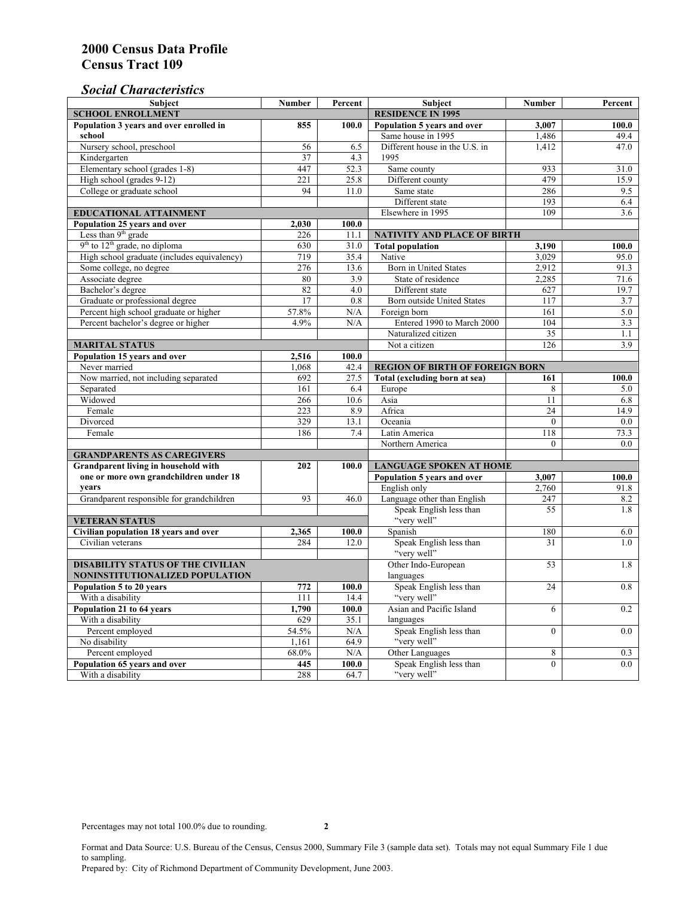# *Social Characteristics*

| <b>Subject</b>                                                              | <b>Number</b>            | Percent | Subject                                | <b>Number</b> | Percent |
|-----------------------------------------------------------------------------|--------------------------|---------|----------------------------------------|---------------|---------|
| <b>SCHOOL ENROLLMENT</b>                                                    | <b>RESIDENCE IN 1995</b> |         |                                        |               |         |
| Population 3 years and over enrolled in                                     | 855                      | 100.0   | Population 5 years and over            | 3,007         | 100.0   |
| school                                                                      |                          |         | Same house in 1995                     | 1,486         | 49.4    |
| Nursery school, preschool                                                   | 56                       | 6.5     | Different house in the U.S. in         | 1.412         | 47.0    |
| Kindergarten                                                                | 37                       | 4.3     | 1995                                   |               |         |
| Elementary school (grades 1-8)                                              | 447                      | 52.3    | Same county                            | 933           | 31.0    |
| High school (grades 9-12)                                                   | 221                      | 25.8    | Different county                       | 479           | 15.9    |
| College or graduate school                                                  | 94                       | 11.0    | Same state                             | 286           | 9.5     |
|                                                                             |                          |         | Different state                        | 193           | 6.4     |
| <b>EDUCATIONAL ATTAINMENT</b>                                               |                          |         | Elsewhere in 1995                      | 109           | 3.6     |
| Population 25 years and over                                                | 2,030                    | 100.0   |                                        |               |         |
| Less than 9 <sup>th</sup> grade                                             | 226                      | 11.1    | NATIVITY AND PLACE OF BIRTH            |               |         |
| $9th$ to $12th$ grade, no diploma                                           | 630                      | 31.0    | <b>Total population</b>                | 3,190         | 100.0   |
| High school graduate (includes equivalency)                                 | 719                      | 35.4    | Native                                 | 3.029         | 95.0    |
| Some college, no degree                                                     | 276                      | 13.6    | <b>Born</b> in United States           | 2,912         | 91.3    |
| Associate degree                                                            | 80                       | 3.9     | State of residence                     | 2,285         | 71.6    |
| Bachelor's degree                                                           | 82                       | 4.0     | Different state                        | 627           | 19.7    |
| Graduate or professional degree                                             | 17                       | 0.8     | Born outside United States             | 117           | 3.7     |
| Percent high school graduate or higher                                      | 57.8%                    | N/A     | Foreign born                           | 161           | 5.0     |
| Percent bachelor's degree or higher                                         | 4.9%                     | N/A     | Entered 1990 to March 2000             | 104           | 3.3     |
|                                                                             |                          |         | Naturalized citizen                    | 35            | 1.1     |
| <b>MARITAL STATUS</b>                                                       | Not a citizen            | 126     | 3.9                                    |               |         |
| Population 15 years and over                                                | 2,516                    | 100.0   |                                        |               |         |
| Never married                                                               | 1,068                    | 42.4    | <b>REGION OF BIRTH OF FOREIGN BORN</b> |               |         |
| Now married, not including separated                                        | 692                      | 27.5    | Total (excluding born at sea)          | 161           | 100.0   |
| Separated                                                                   | 161                      | 6.4     | Europe                                 | 8             | 5.0     |
| Widowed                                                                     | 266                      | 10.6    | Asia                                   | 11            | 6.8     |
| Female                                                                      | 223                      | 8.9     | Africa                                 | 24            | 14.9    |
| Divorced                                                                    | 329                      | 13.1    | Oceania                                | $\theta$      | 0.0     |
| Female                                                                      | 186                      | 7.4     | Latin America                          | 118           | 73.3    |
|                                                                             |                          |         | Northern America                       | $\theta$      | 0.0     |
| <b>GRANDPARENTS AS CAREGIVERS</b>                                           |                          |         |                                        |               |         |
| Grandparent living in household with<br>202<br>100.0                        |                          |         | <b>LANGUAGE SPOKEN AT HOME</b>         |               |         |
| one or more own grandchildren under 18                                      |                          |         | Population 5 years and over            | 3,007         | 100.0   |
| years                                                                       |                          |         | English only                           | 2,760         | 91.8    |
| Grandparent responsible for grandchildren                                   | 93                       | 46.0    | Language other than English            | 247           | 8.2     |
|                                                                             |                          |         | Speak English less than                | 55            | 1.8     |
| <b>VETERAN STATUS</b>                                                       |                          |         | "very well"                            |               |         |
| Civilian population 18 years and over                                       | 2,365                    | 100.0   | Spanish                                | 180           | 6.0     |
| Civilian veterans                                                           | 284                      | 12.0    | Speak English less than<br>"very well" | 31            | 1.0     |
|                                                                             |                          |         | Other Indo-European                    |               |         |
| <b>DISABILITY STATUS OF THE CIVILIAN</b>                                    | languages                | 53      | 1.8                                    |               |         |
| NONINSTITUTIONALIZED POPULATION<br>Population 5 to 20 years<br>772<br>100.0 |                          |         | Speak English less than                | 24            | 0.8     |
| With a disability                                                           | 111                      | 14.4    | "very well"                            |               |         |
| Population 21 to 64 years                                                   | 1,790                    | 100.0   | Asian and Pacific Island               | 6             | 0.2     |
| With a disability                                                           | 629                      | 35.1    | languages                              |               |         |
| Percent employed                                                            | 54.5%                    | N/A     | Speak English less than                | $\mathbf{0}$  | 0.0     |
| No disability                                                               | 1,161                    | 64.9    | "very well"                            |               |         |
| Percent employed                                                            | 68.0%                    | N/A     | Other Languages                        | 8             | 0.3     |
| Population 65 years and over                                                | 445                      | 100.0   | Speak English less than                | $\mathbf{0}$  | 0.0     |
| With a disability                                                           | 288                      | 64.7    | "very well"                            |               |         |

Format and Data Source: U.S. Bureau of the Census, Census 2000, Summary File 3 (sample data set). Totals may not equal Summary File 1 due to sampling.

Prepared by: City of Richmond Department of Community Development, June 2003.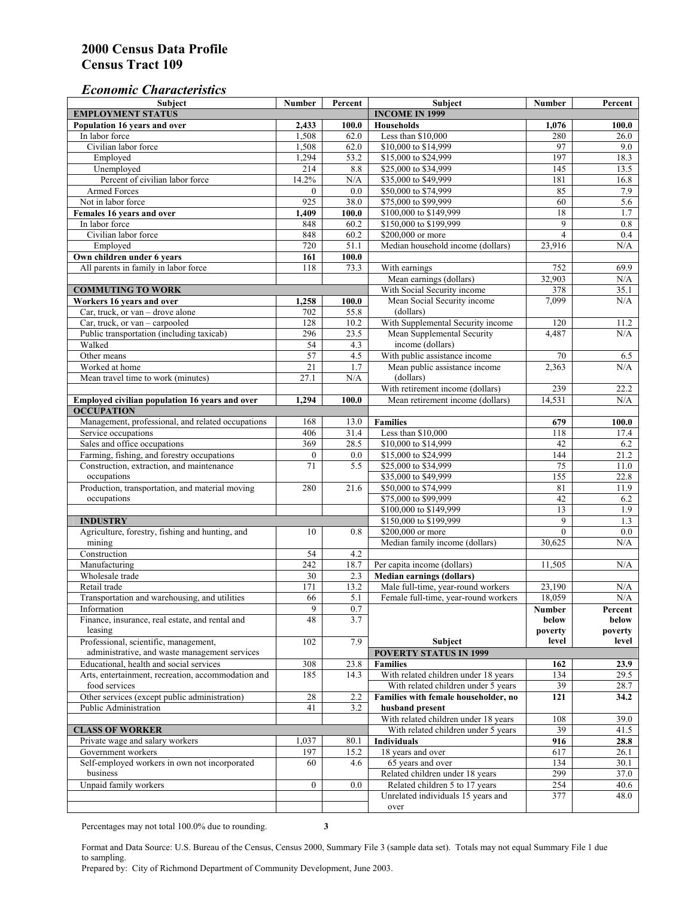## *Economic Characteristics*

| <b>Subject</b>                                     | <b>Number</b>    | Percent          | Subject                                                                     | <b>Number</b>   | Percent          |
|----------------------------------------------------|------------------|------------------|-----------------------------------------------------------------------------|-----------------|------------------|
| <b>EMPLOYMENT STATUS</b>                           |                  |                  | <b>INCOME IN 1999</b>                                                       |                 |                  |
| Population 16 years and over                       | 2,433            | 100.0            | <b>Households</b>                                                           | 1,076           | 100.0            |
| In labor force                                     | 1,508            | 62.0             | Less than \$10,000                                                          | 280             | 26.0             |
| Civilian labor force                               | 1,508            | 62.0             | \$10,000 to \$14,999                                                        | 97              | 9.0              |
| Employed                                           | 1,294            | 53.2             | \$15,000 to \$24,999                                                        | 197             | 18.3             |
| Unemployed                                         | 214              | 8.8              | \$25,000 to \$34,999                                                        | 145             | 13.5             |
| Percent of civilian labor force                    | 14.2%            | $\rm N/A$        | \$35,000 to \$49,999                                                        | 181             | 16.8             |
| Armed Forces                                       | $\mathbf{0}$     | 0.0              | \$50,000 to \$74,999                                                        | 85              | 7.9              |
| Not in labor force                                 | 925              | 38.0             | \$75,000 to \$99,999                                                        | 60              | 5.6              |
| Females 16 years and over                          | 1,409            | 100.0            | \$100,000 to \$149,999                                                      | 18              | 1.7              |
| In labor force                                     | 848              | 60.2             | \$150,000 to \$199,999                                                      | 9               | 0.8              |
| Civilian labor force                               | 848              | 60.2             | \$200,000 or more                                                           | $\overline{4}$  | 0.4              |
| Employed                                           | 720              | 51.1             | Median household income (dollars)                                           | 23,916          | N/A              |
| Own children under 6 years                         | 161              | 100.0            |                                                                             |                 |                  |
| All parents in family in labor force               | 118              | 73.3             | With earnings                                                               | 752             | 69.9             |
|                                                    |                  |                  | Mean earnings (dollars)                                                     | 32,903          | N/A              |
| <b>COMMUTING TO WORK</b>                           |                  |                  | With Social Security income                                                 | 378             | 35.1             |
| Workers 16 years and over                          | 1,258            | 100.0            | Mean Social Security income                                                 | 7.099           | N/A              |
| Car, truck, or van - drove alone                   | 702              | 55.8             | (dollars)                                                                   |                 |                  |
| Car, truck, or van – carpooled                     | 128              | 10.2             | With Supplemental Security income                                           | 120             | 11.2             |
| Public transportation (including taxicab)          | 296              | 23.5             | Mean Supplemental Security                                                  | 4,487           | N/A              |
| Walked                                             | 54               | 4.3              | income (dollars)                                                            |                 |                  |
| Other means                                        | $\overline{57}$  | 4.5              | With public assistance income                                               | 70              | 6.5              |
| Worked at home                                     | 21               | 1.7              | Mean public assistance income                                               | 2,363           | N/A              |
| Mean travel time to work (minutes)                 | 27.1             | N/A              | (dollars)                                                                   |                 |                  |
|                                                    |                  |                  | With retirement income (dollars)                                            | 239             | 22.2             |
| Employed civilian population 16 years and over     | 1,294            | 100.0            | Mean retirement income (dollars)                                            | 14,531          | N/A              |
| <b>OCCUPATION</b>                                  |                  |                  |                                                                             |                 |                  |
| Management, professional, and related occupations  | 168              | 13.0             | <b>Families</b>                                                             | 679             | 100.0            |
| Service occupations                                | 406              | 31.4             | Less than \$10,000                                                          | 118             | 17.4             |
| Sales and office occupations                       | 369              | 28.5             | \$10,000 to \$14,999                                                        | 42              | 6.2              |
| Farming, fishing, and forestry occupations         | $\boldsymbol{0}$ | 0.0              | \$15,000 to \$24,999                                                        | 144             | 21.2             |
| Construction, extraction, and maintenance          | 71               | $\overline{5.5}$ | \$25,000 to \$34,999                                                        | $\overline{75}$ | 11.0             |
| occupations                                        |                  |                  | \$35,000 to \$49,999                                                        | 155             | 22.8             |
| Production, transportation, and material moving    | 280              | 21.6             | \$50,000 to \$74,999                                                        | 81              | 11.9             |
| occupations                                        |                  |                  | \$75,000 to \$99,999                                                        | 42              | 6.2              |
|                                                    |                  |                  | \$100,000 to \$149,999                                                      | 13              | 1.9              |
| <b>INDUSTRY</b>                                    |                  |                  | \$150,000 to \$199,999                                                      | 9               | 1.3              |
| Agriculture, forestry, fishing and hunting, and    | 10               | 0.8              | \$200,000 or more                                                           | $\theta$        | 0.0              |
| mining                                             |                  |                  | Median family income (dollars)                                              | 30,625          | $\rm N/A$        |
| Construction                                       | 54               | 4.2              |                                                                             |                 |                  |
| Manufacturing                                      | 242              | 18.7             | Per capita income (dollars)                                                 | 11,505          | N/A              |
| Wholesale trade                                    | 30               | 2.3              | <b>Median earnings (dollars)</b>                                            |                 |                  |
| Retail trade                                       | 171              | 13.2             | Male full-time, year-round workers                                          | 23,190          | N/A              |
| Transportation and warehousing, and utilities      | 66               | 5.1              | Female full-time, year-round workers                                        | 18.059          | N/A              |
| Information                                        | 9                |                  |                                                                             |                 |                  |
| Finance, insurance, real estate, and rental and    | 48               | 0.7<br>3.7       |                                                                             | Number<br>below | Percent<br>below |
| leasing                                            |                  |                  |                                                                             | poverty         | poverty          |
| Professional, scientific, management,              | 102              | 7.9              | Subject                                                                     | level           | level            |
| administrative, and waste management services      |                  |                  | <b>POVERTY STATUS IN 1999</b>                                               |                 |                  |
| Educational, health and social services            | 308              | 23.8             | <b>Families</b>                                                             | 162             | 23.9             |
| Arts, entertainment, recreation, accommodation and | 185              | 14.3             | With related children under 18 years                                        | 134             | 29.5             |
| food services                                      |                  |                  | With related children under 5 years                                         | 39              | 28.7             |
| Other services (except public administration)      | 28               |                  |                                                                             |                 |                  |
| Public Administration                              | 41               | 2.2<br>3.2       | Families with female householder, no<br>husband present                     | 121             | 34.2             |
|                                                    |                  |                  |                                                                             |                 |                  |
|                                                    |                  |                  | With related children under 18 years<br>With related children under 5 years | 108             | 39.0             |
| <b>CLASS OF WORKER</b>                             |                  |                  |                                                                             | 39              | 41.5             |
| Private wage and salary workers                    | 1,037            | 80.1             | Individuals                                                                 | 916             | 28.8             |
| Government workers                                 | 197              | 15.2             | 18 years and over                                                           | 617             | 26.1             |
| Self-employed workers in own not incorporated      | 60               | 4.6              | 65 years and over                                                           | 134             | 30.1             |
| business                                           |                  |                  | Related children under 18 years                                             | 299             | 37.0             |
| Unpaid family workers                              | $\mathbf{0}$     | 0.0              | Related children 5 to 17 years                                              | 254             | 40.6             |
|                                                    |                  |                  | Unrelated individuals 15 years and                                          | 377             | 48.0             |
|                                                    |                  |                  | over                                                                        |                 |                  |

Percentages may not total 100.0% due to rounding. **3** 

Format and Data Source: U.S. Bureau of the Census, Census 2000, Summary File 3 (sample data set). Totals may not equal Summary File 1 due to sampling.

Prepared by: City of Richmond Department of Community Development, June 2003.